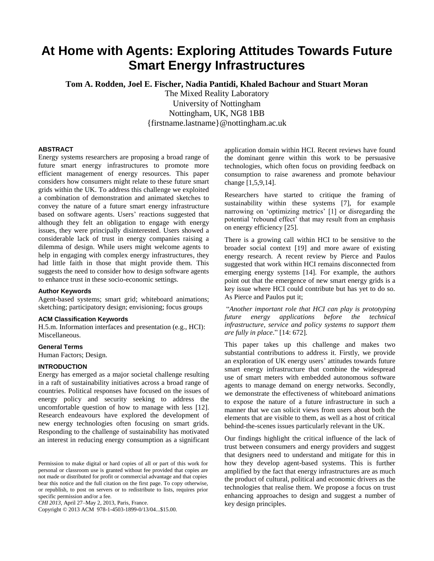# **At Home with Agents: Exploring Attitudes Towards Future Smart Energy Infrastructures**

**Tom A. Rodden, Joel E. Fischer, Nadia Pantidi, Khaled Bachour and Stuart Moran**

The Mixed Reality Laboratory University of Nottingham Nottingham, UK, NG8 1BB {firstname.lastname}@nottingham.ac.uk

#### **ABSTRACT**

Energy systems researchers are proposing a broad range of future smart energy infrastructures to promote more efficient management of energy resources. This paper considers how consumers might relate to these future smart grids within the UK. To address this challenge we exploited a combination of demonstration and animated sketches to convey the nature of a future smart energy infrastructure based on software agents. Users' reactions suggested that although they felt an obligation to engage with energy issues, they were principally disinterested. Users showed a considerable lack of trust in energy companies raising a dilemma of design. While users might welcome agents to help in engaging with complex energy infrastructures, they had little faith in those that might provide them. This suggests the need to consider how to design software agents to enhance trust in these socio-economic settings.

#### **Author Keywords**

Agent-based systems; smart grid; whiteboard animations; sketching; participatory design; envisioning; focus groups

#### **ACM Classification Keywords**

H.5.m. Information interfaces and presentation (e.g., HCI): Miscellaneous.

#### **General Terms**

Human Factors; Design.

#### **INTRODUCTION**

Energy has emerged as a major societal challenge resulting in a raft of sustainability initiatives across a broad range of countries. Political responses have focused on the issues of energy policy and security seeking to address the uncomfortable question of how to manage with less [12]. Research endeavours have explored the development of new energy technologies often focusing on smart grids. Responding to the challenge of sustainability has motivated an interest in reducing energy consumption as a significant

*CHI 2013,* April 27–May 2, 2013, Paris, France.

Copyright © 2013 ACM 978-1-4503-1899-0/13/04...\$15.00.

application domain within HCI. Recent reviews have found the dominant genre within this work to be persuasive technologies, which often focus on providing feedback on consumption to raise awareness and promote behaviour change [1,5,9,14].

Researchers have started to critique the framing of sustainability within these systems [7], for example narrowing on 'optimizing metrics' [1] or disregarding the potential 'rebound effect' that may result from an emphasis on energy efficiency [25].

There is a growing call within HCI to be sensitive to the broader social context [19] and more aware of existing energy research. A recent review by Pierce and Paulos suggested that work within HCI remains disconnected from emerging energy systems [14]. For example, the authors point out that the emergence of new smart energy grids is a key issue where HCI could contribute but has yet to do so. As Pierce and Paulos put it;

"*Another important role that HCI can play is prototyping future energy applications before the technical infrastructure, service and policy systems to support them are fully in place*." [14: 672].

This paper takes up this challenge and makes two substantial contributions to address it. Firstly, we provide an exploration of UK energy users' attitudes towards future smart energy infrastructure that combine the widespread use of smart meters with embedded autonomous software agents to manage demand on energy networks. Secondly, we demonstrate the effectiveness of whiteboard animations to expose the nature of a future infrastructure in such a manner that we can solicit views from users about both the elements that are visible to them, as well as a host of critical behind-the-scenes issues particularly relevant in the UK.

Our findings highlight the critical influence of the lack of trust between consumers and energy providers and suggest that designers need to understand and mitigate for this in how they develop agent-based systems. This is further amplified by the fact that energy infrastructures are as much the product of cultural, political and economic drivers as the technologies that realise them. We propose a focus on trust enhancing approaches to design and suggest a number of key design principles.

Permission to make digital or hard copies of all or part of this work for personal or classroom use is granted without fee provided that copies are not made or distributed for profit or commercial advantage and that copies bear this notice and the full citation on the first page. To copy otherwise, or republish, to post on servers or to redistribute to lists, requires prior specific permission and/or a fee.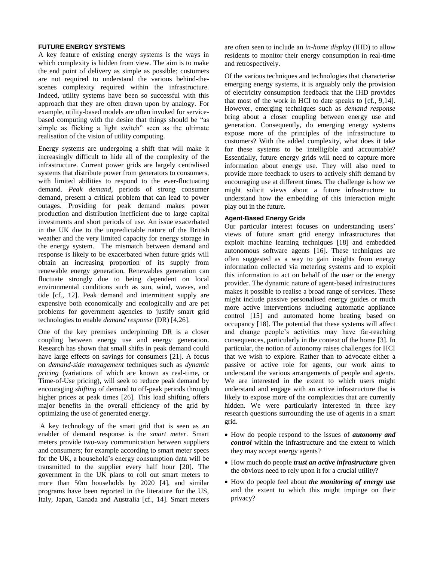#### **FUTURE ENERGY SYSTEMS**

A key feature of existing energy systems is the ways in which complexity is hidden from view. The aim is to make the end point of delivery as simple as possible; customers are not required to understand the various behind-thescenes complexity required within the infrastructure. Indeed, utility systems have been so successful with this approach that they are often drawn upon by analogy. For example, utility-based models are often invoked for servicebased computing with the desire that things should be "as simple as flicking a light switch" seen as the ultimate realisation of the vision of utility computing.

Energy systems are undergoing a shift that will make it increasingly difficult to hide all of the complexity of the infrastructure. Current power grids are largely centralised systems that distribute power from generators to consumers, with limited abilities to respond to the ever-fluctuating demand. *Peak demand,* periods of strong consumer demand, present a critical problem that can lead to power outages. Providing for peak demand makes power production and distribution inefficient due to large capital investments and short periods of use. An issue exacerbated in the UK due to the unpredictable nature of the British weather and the very limited capacity for energy storage in the energy system. The mismatch between demand and response is likely to be exacerbated when future grids will obtain an increasing proportion of its supply from renewable energy generation. Renewables generation can fluctuate strongly due to being dependent on local environmental conditions such as sun, wind, waves, and tide [cf., 12]. Peak demand and intermittent supply are expensive both economically and ecologically and are pet problems for government agencies to justify smart grid technologies to enable *demand response* (DR) [4,26].

One of the key premises underpinning DR is a closer coupling between energy use and energy generation. Research has shown that small shifts in peak demand could have large effects on savings for consumers [21]. A focus on *demand-side management* techniques such as *dynamic pricing* (variations of which are known as real-time, or Time-of-Use pricing), will seek to reduce peak demand by encouraging *shifting* of demand to off-peak periods through higher prices at peak times [26]. This load shifting offers major benefits in the overall efficiency of the grid by optimizing the use of generated energy.

A key technology of the smart grid that is seen as an enabler of demand response is the *smart meter.* Smart meters provide two-way communication between suppliers and consumers; for example according to smart meter specs for the UK, a household's energy consumption data will be transmitted to the supplier every half hour [20]. The government in the UK plans to roll out smart meters to more than 50m households by 2020 [4], and similar programs have been reported in the literature for the US, Italy, Japan, Canada and Australia [cf., 14]. Smart meters

are often seen to include an *in-home display* (IHD) to allow residents to monitor their energy consumption in real-time and retrospectively.

Of the various techniques and technologies that characterise emerging energy systems, it is arguably only the provision of electricity consumption feedback that the IHD provides that most of the work in HCI to date speaks to [cf., 9,14]. However, emerging techniques such as *demand response* bring about a closer coupling between energy use and generation. Consequently, do emerging energy systems expose more of the principles of the infrastructure to customers? With the added complexity, what does it take for these systems to be intelligible and accountable? Essentially, future energy grids will need to capture more information about energy use. They will also need to provide more feedback to users to actively shift demand by encouraging use at different times. The challenge is how we might solicit views about a future infrastructure to understand how the embedding of this interaction might play out in the future.

## **Agent-Based Energy Grids**

Our particular interest focuses on understanding users' views of future smart grid energy infrastructures that exploit machine learning techniques [18] and embedded autonomous software agents [16]. These techniques are often suggested as a way to gain insights from energy information collected via metering systems and to exploit this information to act on behalf of the user or the energy provider. The dynamic nature of agent-based infrastructures makes it possible to realise a broad range of services. These might include passive personalised energy guides or much more active interventions including automatic appliance control [15] and automated home heating based on occupancy [18]. The potential that these systems will affect and change people's activities may have far-reaching consequences, particularly in the context of the home [3]. In particular, the notion of autonomy raises challenges for HCI that we wish to explore. Rather than to advocate either a passive or active role for agents, our work aims to understand the various arrangements of people and agents. We are interested in the extent to which users might understand and engage with an active infrastructure that is likely to expose more of the complexities that are currently hidden. We were particularly interested in three key research questions surrounding the use of agents in a smart grid.

- How do people respond to the issues of *autonomy and control* within the infrastructure and the extent to which they may accept energy agents?
- How much do people *trust an active infrastructure* given the obvious need to rely upon it for a crucial utility?
- How do people feel about *the monitoring of energy use* and the extent to which this might impinge on their privacy?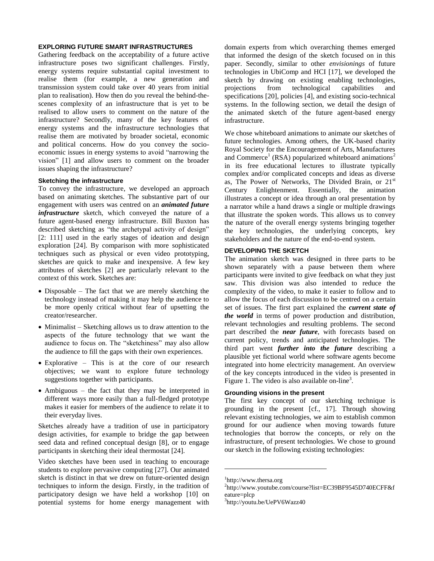## **EXPLORING FUTURE SMART INFRASTRUCTURES**

Gathering feedback on the acceptability of a future active infrastructure poses two significant challenges. Firstly, energy systems require substantial capital investment to realise them (for example, a new generation and transmission system could take over 40 years from initial plan to realisation). How then do you reveal the behind-thescenes complexity of an infrastructure that is yet to be realised to allow users to comment on the nature of the infrastructure? Secondly, many of the key features of energy systems and the infrastructure technologies that realise them are motivated by broader societal, economic and political concerns. How do you convey the socioeconomic issues in energy systems to avoid "narrowing the vision" [1] and allow users to comment on the broader issues shaping the infrastructure?

#### **Sketching the infrastructure**

To convey the infrastructure, we developed an approach based on animating sketches. The substantive part of our engagement with users was centred on an *animated future infrastructure* sketch, which conveyed the nature of a future agent-based energy infrastructure. Bill Buxton has described sketching as "the archetypal activity of design" [2: 111] used in the early stages of ideation and design exploration [24]. By comparison with more sophisticated techniques such as physical or even video prototyping, sketches are quick to make and inexpensive. A few key attributes of sketches [2] are particularly relevant to the context of this work. Sketches are:

- Disposable The fact that we are merely sketching the technology instead of making it may help the audience to be more openly critical without fear of upsetting the creator/researcher.
- Minimalist Sketching allows us to draw attention to the aspects of the future technology that we want the audience to focus on. The "sketchiness" may also allow the audience to fill the gaps with their own experiences.
- Explorative This is at the core of our research objectives; we want to explore future technology suggestions together with participants.
- Ambiguous the fact that they may be interpreted in different ways more easily than a full-fledged prototype makes it easier for members of the audience to relate it to their everyday lives.

Sketches already have a tradition of use in participatory design activities, for example to bridge the gap between seed data and refined conceptual design [8], or to engage participants in sketching their ideal thermostat [24].

Video sketches have been used in teaching to encourage students to explore pervasive computing [27]. Our animated sketch is distinct in that we drew on future-oriented design techniques to inform the design. Firstly, in the tradition of participatory design we have held a workshop [10] on potential systems for home energy management with domain experts from which overarching themes emerged that informed the design of the sketch focused on in this paper. Secondly, similar to other *envisionings* of future technologies in UbiComp and HCI [17], we developed the sketch by drawing on existing enabling technologies, projections from technological capabilities and specifications [20], policies [4], and existing socio-technical systems. In the following section, we detail the design of the animated sketch of the future agent-based energy infrastructure.

We chose whiteboard animations to animate our sketches of future technologies. Among others, the UK-based charity Royal Society for the Encouragement of Arts, Manufactures and Commerce<sup>1</sup> (RSA) popularized whiteboard animations<sup>2</sup> in its free educational lectures to illustrate typically complex and/or complicated concepts and ideas as diverse as, The Power of Networks, The Divided Brain, or 21st Century Enlightenment. Essentially, the animation illustrates a concept or idea through an oral presentation by a narrator while a hand draws a single or multiple drawings that illustrate the spoken words. This allows us to convey the nature of the overall energy systems bringing together the key technologies, the underlying concepts, key stakeholders and the nature of the end-to-end system.

## **DEVELOPING THE SKETCH**

The animation sketch was designed in three parts to be shown separately with a pause between them where participants were invited to give feedback on what they just saw. This division was also intended to reduce the complexity of the video, to make it easier to follow and to allow the focus of each discussion to be centred on a certain set of issues. The first part explained the *current state of the world* in terms of power production and distribution, relevant technologies and resulting problems. The second part described the *near future*, with forecasts based on current policy, trends and anticipated technologies. The third part went *further into the future* describing a plausible yet fictional world where software agents become integrated into home electricity management. An overview of the key concepts introduced in the video is presented in Figure 1. The video is also available on-line<sup>3</sup>.

## **Grounding visions in the present**

The first key concept of our sketching technique is grounding in the present [cf., 17]. Through showing relevant existing technologies, we aim to establish common ground for our audience when moving towards future technologies that borrow the concepts, or rely on the infrastructure, of present technologies. We chose to ground our sketch in the following existing technologies:

l

<sup>1</sup> http://www.thersa.org

<sup>2</sup> http://www.youtube.com/course?list=EC39BF9545D740ECFF&f eature=plcp

<sup>3</sup> http://youtu.be/UePV6Wazz40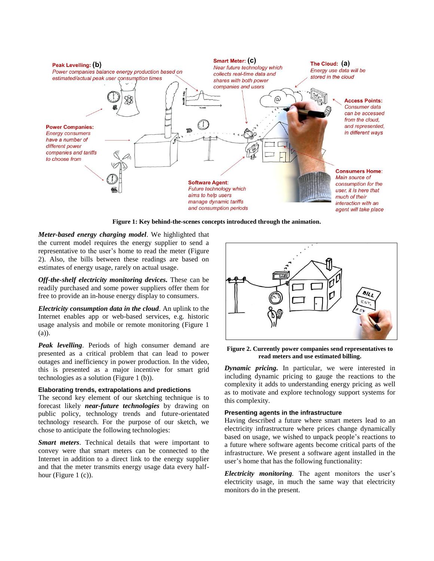

**Figure 1: Key behind-the-scenes concepts introduced through the animation.**

*Meter-based energy charging model*. We highlighted that the current model requires the energy supplier to send a representative to the user's home to read the meter (Figure 2). Also, the bills between these readings are based on estimates of energy usage, rarely on actual usage.

*Off-the-shelf electricity monitoring devices.* These can be readily purchased and some power suppliers offer them for free to provide an in-house energy display to consumers.

*Electricity consumption data in the cloud*. An uplink to the Internet enables app or web-based services, e.g. historic usage analysis and mobile or remote monitoring (Figure 1 (a)).

*Peak levelling*. Periods of high consumer demand are presented as a critical problem that can lead to power outages and inefficiency in power production. In the video, this is presented as a major incentive for smart grid technologies as a solution (Figure 1 (b)).

## **Elaborating trends, extrapolations and predictions**

The second key element of our sketching technique is to forecast likely *near-future technologies* by drawing on public policy, technology trends and future-orientated technology research. For the purpose of our sketch, we chose to anticipate the following technologies:

*Smart meters*. Technical details that were important to convey were that smart meters can be connected to the Internet in addition to a direct link to the energy supplier and that the meter transmits energy usage data every halfhour (Figure 1 (c)).



**Figure 2. Currently power companies send representatives to read meters and use estimated billing.**

*Dynamic pricing.* In particular, we were interested in including dynamic pricing to gauge the reactions to the complexity it adds to understanding energy pricing as well as to motivate and explore technology support systems for this complexity.

#### **Presenting agents in the infrastructure**

Having described a future where smart meters lead to an electricity infrastructure where prices change dynamically based on usage, we wished to unpack people's reactions to a future where software agents become critical parts of the infrastructure. We present a software agent installed in the user's home that has the following functionality:

*Electricity monitoring.* The agent monitors the user's electricity usage, in much the same way that electricity monitors do in the present.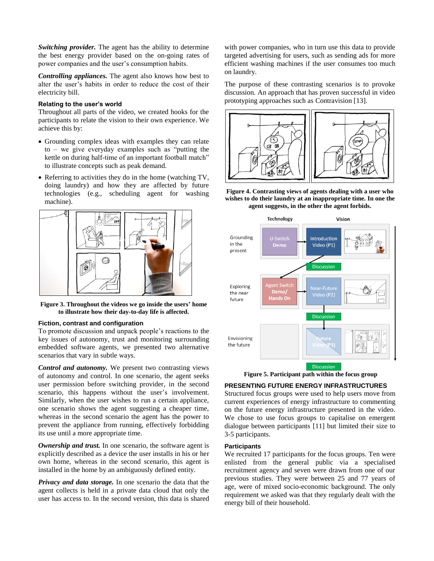*Switching provider.* The agent has the ability to determine the best energy provider based on the on-going rates of power companies and the user's consumption habits.

*Controlling appliances.* The agent also knows how best to alter the user's habits in order to reduce the cost of their electricity bill.

#### **Relating to the user's world**

Throughout all parts of the video, we created hooks for the participants to relate the vision to their own experience. We achieve this by:

- Grounding complex ideas with examples they can relate to – we give everyday examples such as "putting the kettle on during half-time of an important football match" to illustrate concepts such as peak demand.
- Referring to activities they do in the home (watching TV, doing laundry) and how they are affected by future technologies (e.g., scheduling agent for washing machine).



**Figure 3. Throughout the videos we go inside the users' home to illustrate how their day-to-day life is affected.**

## **Fiction, contrast and configuration**

To promote discussion and unpack people's reactions to the key issues of autonomy, trust and monitoring surrounding embedded software agents, we presented two alternative scenarios that vary in subtle ways.

*Control and autonomy.* We present two contrasting views of autonomy and control. In one scenario, the agent seeks user permission before switching provider, in the second scenario, this happens without the user's involvement. Similarly, when the user wishes to run a certain appliance, one scenario shows the agent suggesting a cheaper time, whereas in the second scenario the agent has the power to prevent the appliance from running, effectively forbidding its use until a more appropriate time.

*Ownership and trust.* In one scenario, the software agent is explicitly described as a device the user installs in his or her own home, whereas in the second scenario, this agent is installed in the home by an ambiguously defined entity.

*Privacy and data storage.* In one scenario the data that the agent collects is held in a private data cloud that only the user has access to. In the second version, this data is shared with power companies, who in turn use this data to provide targeted advertising for users, such as sending ads for more efficient washing machines if the user consumes too much on laundry.

The purpose of these contrasting scenarios is to provoke discussion. An approach that has proven successful in video prototyping approaches such as Contravision [13].



**Figure 4. Contrasting views of agents dealing with a user who wishes to do their laundry at an inappropriate time. In one the agent suggests, in the other the agent forbids.**



**Figure 5. Participant path within the focus group**

## **PRESENTING FUTURE ENERGY INFRASTRUCTURES**

Structured focus groups were used to help users move from current experiences of energy infrastructure to commenting on the future energy infrastructure presented in the video. We chose to use focus groups to capitalise on emergent dialogue between participants [11] but limited their size to 3-5 participants.

## **Participants**

We recruited 17 participants for the focus groups. Ten were enlisted from the general public via a specialised recruitment agency and seven were drawn from one of our previous studies. They were between 25 and 77 years of age, were of mixed socio-economic background. The only requirement we asked was that they regularly dealt with the energy bill of their household.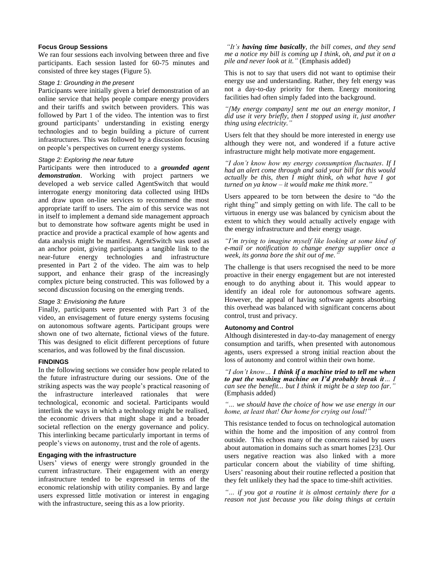#### **Focus Group Sessions**

We ran four sessions each involving between three and five participants. Each session lasted for 60-75 minutes and consisted of three key stages (Figure 5).

#### *Stage 1: Grounding in the present*

Participants were initially given a brief demonstration of an online service that helps people compare energy providers and their tariffs and switch between providers. This was followed by Part 1 of the video. The intention was to first ground participants' understanding in existing energy technologies and to begin building a picture of current infrastructures. This was followed by a discussion focusing on people's perspectives on current energy systems.

## *Stage 2: Exploring the near future*

Participants were then introduced to a *grounded agent demonstration*. Working with project partners we developed a web service called AgentSwitch that would interrogate energy monitoring data collected using IHDs and draw upon on-line services to recommend the most appropriate tariff to users. The aim of this service was not in itself to implement a demand side management approach but to demonstrate how software agents might be used in practice and provide a practical example of how agents and data analysis might be manifest. AgentSwitch was used as an anchor point, giving participants a tangible link to the near-future energy technologies and infrastructure presented in Part 2 of the video. The aim was to help support, and enhance their grasp of the increasingly complex picture being constructed. This was followed by a second discussion focusing on the emerging trends.

## *Stage 3: Envisioning the future*

Finally, participants were presented with Part 3 of the video, an envisagement of future energy systems focusing on autonomous software agents. Participant groups were shown one of two alternate, fictional views of the future. This was designed to elicit different perceptions of future scenarios, and was followed by the final discussion.

## **FINDINGS**

In the following sections we consider how people related to the future infrastructure during our sessions. One of the striking aspects was the way people's practical reasoning of the infrastructure interleaved rationales that were technological, economic and societal. Participants would interlink the ways in which a technology might be realised, the economic drivers that might shape it and a broader societal reflection on the energy governance and policy. This interlinking became particularly important in terms of people's views on autonomy, trust and the role of agents.

## **Engaging with the infrastructure**

Users' views of energy were strongly grounded in the current infrastructure. Their engagement with an energy infrastructure tended to be expressed in terms of the economic relationship with utility companies. By and large users expressed little motivation or interest in engaging with the infrastructure, seeing this as a low priority.

*"It's having time basically, the bill comes, and they send me a notice my bill is coming up I think, oh, and put it on a pile and never look at it."* (Emphasis added)

This is not to say that users did not want to optimise their energy use and understanding. Rather, they felt energy was not a day-to-day priority for them. Energy monitoring facilities had often simply faded into the background.

*"[My energy company] sent me out an energy monitor, I did use it very briefly, then I stopped using it, just another thing using electricity."*

Users felt that they should be more interested in energy use although they were not, and wondered if a future active infrastructure might help motivate more engagement.

*"I don't know how my energy consumption fluctuates. If I had an alert come through and said your bill for this would actually be this, then I might think, oh what have I got turned on ya know – it would make me think more."* 

Users appeared to be torn between the desire to "do the right thing" and simply getting on with life. The call to be virtuous in energy use was balanced by cynicism about the extent to which they would actually actively engage with the energy infrastructure and their energy usage.

*"I'm trying to imagine myself like looking at some kind of e-mail or notification to change energy supplier once a week, its gonna bore the shit out of me."*

The challenge is that users recognised the need to be more proactive in their energy engagement but are not interested enough to do anything about it. This would appear to identify an ideal role for autonomous software agents. However, the appeal of having software agents absorbing this overhead was balanced with significant concerns about control, trust and privacy.

## **Autonomy and Control**

Although disinterested in day-to-day management of energy consumption and tariffs, when presented with autonomous agents, users expressed a strong initial reaction about the loss of autonomy and control within their own home.

*"I don't know… I think if a machine tried to tell me when to put the washing machine on I'd probably break it… I can see the benefit... but I think it might be a step too far."* (Emphasis added)

*"… we should have the choice of how we use energy in our home, at least that! Our home for crying out loud!"*

This resistance tended to focus on technological automation within the home and the imposition of any control from outside. This echoes many of the concerns raised by users about automation in domains such as smart homes [23]. Our users negative reaction was also linked with a more particular concern about the viability of time shifting. Users' reasoning about their routine reflected a position that they felt unlikely they had the space to time-shift activities.

*"… if you got a routine it is almost certainly there for a reason not just because you like doing things at certain*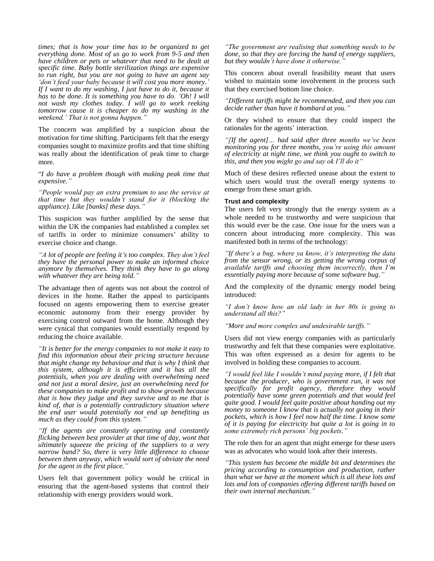*times; that is how your time has to be organized to get everything done. Most of us go to work from 9-5 and then have children or pets or whatever that need to be dealt at specific time. Baby bottle sterilization things are expensive to run right, but you are not going to have an agent say 'don't feed your baby because it will cost you more money.' If I want to do my washing, I just have to do it, because it has to be done. It is something you have to do. 'Oh! I will not wash my clothes today. I will go to work reeking tomorrow cause it is cheaper to do my washing in the weekend.' That is not gonna happen."*

The concern was amplified by a suspicion about the motivation for time shifting. Participants felt that the energy companies sought to maximize profits and that time shifting was really about the identification of peak time to charge more.

"*I do have a problem though with making peak time that expensive."*

*"People would pay an extra premium to use the service at that time but they wouldn't stand for it (blocking the appliance). Like [banks] these days."*

This suspicion was further amplified by the sense that within the UK the companies had established a complex set of tariffs in order to minimize consumers' ability to exercise choice and change.

*"A lot of people are feeling it's too complex. They don't feel they have the personal power to make an informed choice anymore by themselves. They think they have to go along with whatever they are being told."* 

The advantage then of agents was not about the control of devices in the home. Rather the appeal to participants focused on agents empowering them to exercise greater economic autonomy from their energy provider by exercising control outward from the home. Although they were cynical that companies would essentially respond by reducing the choice available.

*"It is better for the energy companies to not make it easy to find this information about their pricing structure because that might change my behaviour and that is why I think that this system, although it is efficient and it has all the potentials, when you are dealing with overwhelming need and not just a moral desire, just an overwhelming need for these companies to make profit and to show growth because that is how they judge and they survive and to me that is kind of, that is a potentially contradictory situation where the end user would potentially not end up benefiting as much as they could from this system."*

*"If the agents are constantly operating and constantly flicking between best provider at that time of day, wont that ultimately squeeze the pricing of the suppliers to a very narrow band? So, there is very little difference to choose between them anyway, which would sort of obviate the need for the agent in the first place."* 

Users felt that government policy would be critical in ensuring that the agent-based systems that control their relationship with energy providers would work.

*"The government are realising that something needs to be done, so that they are forcing the hand of energy suppliers, but they wouldn't have done it otherwise."*

This concern about overall feasibility meant that users wished to maintain some involvement in the process such that they exercised bottom line choice.

*"Different tariffs might be recommended, and then you can decide rather than have it bombard at you."*

Or they wished to ensure that they could inspect the rationales for the agents' interaction.

*"[If the agent]… had said after three months we've been monitoring you for three months, you're using this amount of electricity at night time, we think you ought to switch to this, and then you might go and say ok I'll do it"*

Much of these desires reflected unease about the extent to which users would trust the overall energy systems to emerge from these smart grids.

#### **Trust and complexity**

The users felt very strongly that the energy system as a whole needed to be trustworthy and were suspicious that this would ever be the case. One issue for the users was a concern about introducing more complexity. This was manifested both in terms of the technology:

*"If there's a bug, where ya know, it's interpreting the data from the sensor wrong, or its getting the wrong corpus of available tariffs and choosing them incorrectly, then I'm essentially paying more because of some software bug."*

And the complexity of the dynamic energy model being introduced:

*"I don't know how an old lady in her 80s is going to understand all this?"*

*"More and more complex and undesirable tariffs."* 

Users did not view energy companies with as particularly trustworthy and felt that these companies were exploitative. This was often expressed as a desire for agents to be involved in holding these companies to account.

*"I would feel like I wouldn't mind paying more, if I felt that because the producer, who is government run, it was not specifically for profit agency, therefore they would potentially have some green potentials and that would feel quite good. I would feel quite positive about handing out my money to someone I know that is actually not going in their pockets, which is how I feel now half the time. I know some of it is paying for electricity but quite a lot is going in to some extremely rich persons' big pockets."*

The role then for an agent that might emerge for these users was as advocates who would look after their interests.

*"This system has become the middle bit and determines the pricing according to consumption and production, rather than what we have at the moment which is all these lots and lots and lots of companies offering different tariffs based on their own internal mechanism."*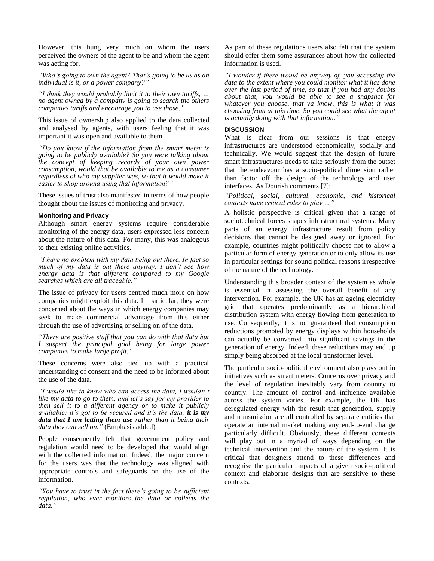However, this hung very much on whom the users perceived the owners of the agent to be and whom the agent was acting for.

*"Who's going to own the agent? That's going to be us as an individual is it, or a power company?"*

*"I think they would probably limit it to their own tariffs, … no agent owned by a company is going to search the others companies tariffs and encourage you to use those."*

This issue of ownership also applied to the data collected and analysed by agents, with users feeling that it was important it was open and available to them.

*"Do you know if the information from the smart meter is going to be publicly available? So you were talking about the concept of keeping records of your own power consumption, would that be available to me as a consumer regardless of who my supplier was, so that it would make it easier to shop around using that information?"* 

These issues of trust also manifested in terms of how people thought about the issues of monitoring and privacy.

#### **Monitoring and Privacy**

Although smart energy systems require considerable monitoring of the energy data, users expressed less concern about the nature of this data. For many, this was analogous to their existing online activities.

*"I have no problem with my data being out there. In fact so much of my data is out there anyway. I don't see how energy data is that different compared to my Google searches which are all traceable."*

The issue of privacy for users centred much more on how companies might exploit this data. In particular, they were concerned about the ways in which energy companies may seek to make commercial advantage from this either through the use of advertising or selling on of the data.

*"There are positive stuff that you can do with that data but I suspect the principal goal being for large power companies to make large profit."*

These concerns were also tied up with a practical understanding of consent and the need to be informed about the use of the data.

*"I would like to know who can access the data, I wouldn't like my data to go to them, and let's say for my provider to then sell it to a different agency or to make it publicly available; it's got to be secured and it's the data, it is my data that I am letting them use rather than it being their data they can sell on."* (Emphasis added)

People consequently felt that government policy and regulation would need to be developed that would align with the collected information. Indeed, the major concern for the users was that the technology was aligned with appropriate controls and safeguards on the use of the information.

*"You have to trust in the fact there's going to be sufficient regulation, who ever monitors the data or collects the data."*

As part of these regulations users also felt that the system should offer them some assurances about how the collected information is used.

*"I wonder if there would be anyway of, you accessing the data to the extent where you could monitor what it has done over the last period of time, so that if you had any doubts about that, you would be able to see a snapshot for whatever you choose, that ya know, this is what it was choosing from at this time. So you could see what the agent is actually doing with that information."*

## **DISCUSSION**

What is clear from our sessions is that energy infrastructures are understood economically, socially and technically. We would suggest that the design of future smart infrastructures needs to take seriously from the outset that the endeavour has a socio-political dimension rather than factor off the design of the technology and user interfaces. As Dourish comments [7]:

*"Political, social, cultural, economic, and historical contexts have critical roles to play …"*

A holistic perspective is critical given that a range of sociotechnical forces shapes infrastructural systems. Many parts of an energy infrastructure result from policy decisions that cannot be designed away or ignored. For example, countries might politically choose not to allow a particular form of energy generation or to only allow its use in particular settings for sound political reasons irrespective of the nature of the technology.

Understanding this broader context of the system as whole is essential in assessing the overall benefit of any intervention. For example, the UK has an ageing electricity grid that operates predominantly as a hierarchical distribution system with energy flowing from generation to use. Consequently, it is not guaranteed that consumption reductions promoted by energy displays within households can actually be converted into significant savings in the generation of energy. Indeed, these reductions may end up simply being absorbed at the local transformer level.

The particular socio-political environment also plays out in initiatives such as smart meters. Concerns over privacy and the level of regulation inevitably vary from country to country. The amount of control and influence available across the system varies. For example, the UK has deregulated energy with the result that generation, supply and transmission are all controlled by separate entities that operate an internal market making any end-to-end change particularly difficult. Obviously, these different contexts will play out in a myriad of ways depending on the technical intervention and the nature of the system. It is critical that designers attend to these differences and recognise the particular impacts of a given socio-political context and elaborate designs that are sensitive to these contexts.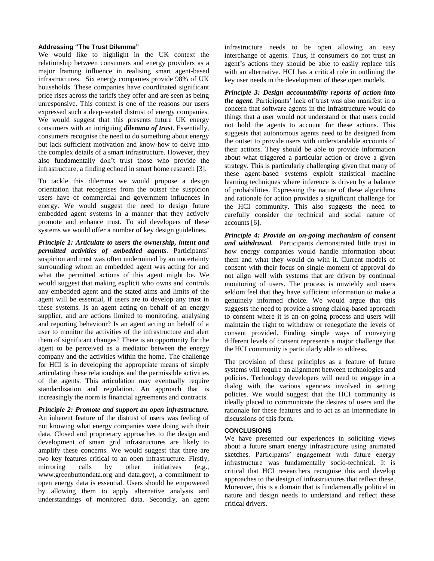#### **Addressing "The Trust Dilemma"**

We would like to highlight in the UK context the relationship between consumers and energy providers as a major framing influence in realising smart agent-based infrastructures. Six energy companies provide 98% of UK households. These companies have coordinated significant price rises across the tariffs they offer and are seen as being unresponsive. This context is one of the reasons our users expressed such a deep-seated distrust of energy companies. We would suggest that this presents future UK energy consumers with an intriguing *dilemma of trust*. Essentially, consumers recognise the need to do something about energy but lack sufficient motivation and know-how to delve into the complex details of a smart infrastructure. However, they also fundamentally don't trust those who provide the infrastructure, a finding echoed in smart home research [3].

To tackle this dilemma we would propose a design orientation that recognises from the outset the suspicion users have of commercial and government influences in energy. We would suggest the need to design future embedded agent systems in a manner that they actively promote and enhance trust. To aid developers of these systems we would offer a number of key design guidelines.

*Principle 1: Articulate to users the ownership, intent and permitted activities of embedded agents*. Participants' suspicion and trust was often undermined by an uncertainty surrounding whom an embedded agent was acting for and what the permitted actions of this agent might be. We would suggest that making explicit who owns and controls any embedded agent and the stated aims and limits of the agent will be essential, if users are to develop any trust in these systems. Is an agent acting on behalf of an energy supplier, and are actions limited to monitoring, analysing and reporting behaviour? Is an agent acting on behalf of a user to monitor the activities of the infrastructure and alert them of significant changes? There is an opportunity for the agent to be perceived as a mediator between the energy company and the activities within the home. The challenge for HCI is in developing the appropriate means of simply articulating these relationships and the permissible activities of the agents. This articulation may eventually require standardisation and regulation. An approach that is increasingly the norm is financial agreements and contracts.

*Principle 2: Promote and support an open infrastructure.*  An inherent feature of the distrust of users was feeling of not knowing what energy companies were doing with their data. Closed and proprietary approaches to the design and development of smart grid infrastructures are likely to amplify these concerns. We would suggest that there are two key features critical to an open infrastructure. Firstly, mirroring calls by other initiatives (e.g., www.greenbuttondata.org and data.gov), a commitment to open energy data is essential. Users should be empowered by allowing them to apply alternative analysis and understandings of monitored data. Secondly, an agent infrastructure needs to be open allowing an easy interchange of agents. Thus, if consumers do not trust an agent's actions they should be able to easily replace this with an alternative. HCI has a critical role in outlining the key user needs in the development of these open models.

*Principle 3: Design accountability reports of action into the agent*. Participants' lack of trust was also manifest in a concern that software agents in the infrastructure would do things that a user would not understand or that users could not hold the agents to account for these actions. This suggests that autonomous agents need to be designed from the outset to provide users with understandable accounts of their actions. They should be able to provide information about what triggered a particular action or drove a given strategy. This is particularly challenging given that many of these agent-based systems exploit statistical machine learning techniques where inference is driven by a balance of probabilities. Expressing the nature of these algorithms and rationale for action provides a significant challenge for the HCI community. This also suggests the need to carefully consider the technical and social nature of accounts [6].

*Principle 4: Provide an on-going mechanism of consent and withdrawal.* Participants demonstrated little trust in how energy companies would handle information about them and what they would do with it. Current models of consent with their focus on single moment of approval do not align well with systems that are driven by continual monitoring of users. The process is unwieldy and users seldom feel that they have sufficient information to make a genuinely informed choice. We would argue that this suggests the need to provide a strong dialog-based approach to consent where it is an on-going process and users will maintain the right to withdraw or renegotiate the levels of consent provided. Finding simple ways of conveying different levels of consent represents a major challenge that the HCI community is particularly able to address.

The provision of these principles as a feature of future systems will require an alignment between technologies and policies. Technology developers will need to engage in a dialog with the various agencies involved in setting policies. We would suggest that the HCI community is ideally placed to communicate the desires of users and the rationale for these features and to act as an intermediate in discussions of this form.

## **CONCLUSIONS**

We have presented our experiences in soliciting views about a future smart energy infrastructure using animated sketches. Participants' engagement with future energy infrastructure was fundamentally socio-technical. It is critical that HCI researchers recognise this and develop approaches to the design of infrastructures that reflect these. Moreover, this is a domain that is fundamentally political in nature and design needs to understand and reflect these critical drivers.